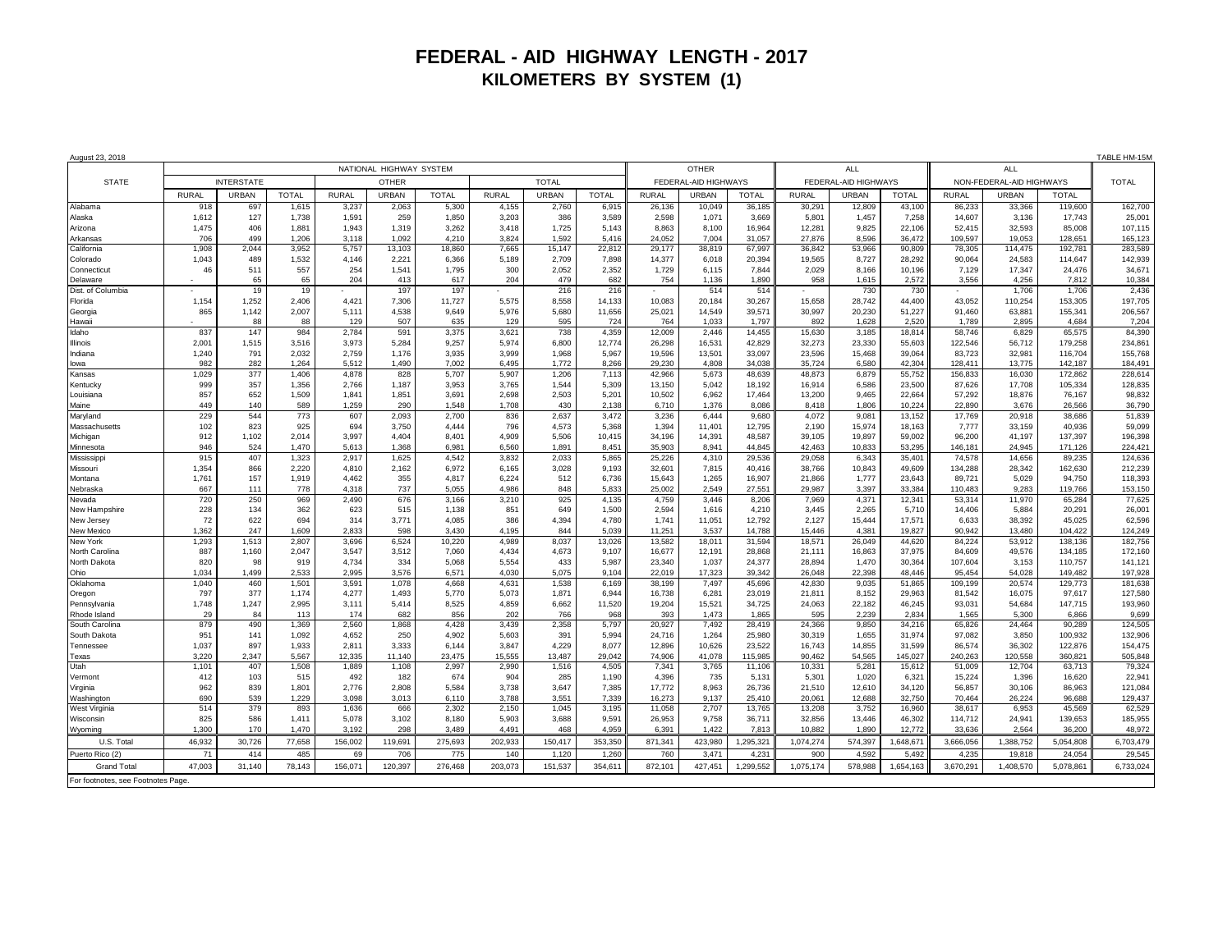## **FEDERAL - AID HIGHWAY LENGTH - 2017 KILOMETERS BY SYSTEM (1)**

| August 23, 2018                   |                         |              |                |                 |                 |                 |                 |                 |                 |                                          |                 |                   |                          | TABLE HM-15M    |                   |                          |                   |                    |                    |
|-----------------------------------|-------------------------|--------------|----------------|-----------------|-----------------|-----------------|-----------------|-----------------|-----------------|------------------------------------------|-----------------|-------------------|--------------------------|-----------------|-------------------|--------------------------|-------------------|--------------------|--------------------|
|                                   | NATIONAL HIGHWAY SYSTEM |              |                |                 |                 |                 |                 |                 |                 | <b>OTHER</b><br><b>ALL</b><br><b>ALL</b> |                 |                   |                          |                 |                   |                          |                   |                    |                    |
| <b>STATE</b>                      | <b>INTERSTATE</b>       |              |                | <b>OTHER</b>    |                 |                 | <b>TOTAL</b>    |                 |                 | FEDERAL-AID HIGHWAYS                     |                 |                   | FEDERAL-AID HIGHWAYS     |                 |                   | NON-FEDERAL-AID HIGHWAYS |                   |                    | <b>TOTAL</b>       |
|                                   | <b>RURAL</b>            | URBAN        | <b>TOTAL</b>   | <b>RURAL</b>    | <b>URBAN</b>    | <b>TOTAL</b>    | <b>RURAL</b>    | <b>URBAN</b>    | <b>TOTAL</b>    | <b>RURAL</b>                             | <b>URBAN</b>    | <b>TOTAL</b>      | <b>RURAL</b>             | URBAN           | <b>TOTAL</b>      | <b>RURAL</b>             | <b>URBAN</b>      | TOTAL              |                    |
| Alabama                           | 918                     | 697          | 1,615          | 3,23            | 2,063           | 5,300           | 4,155           | 2,760           | 6,915           | 26,136                                   | 10,049          | 36,185            | 30,29'                   | 12,809          | 43,100            | 86.233                   | 33,366            | 119,600            | 162,700            |
| Alaska                            | 1,612                   | 127          | 1,738          | 1,591           | 259             | 1,850           | 3,203           | 386             | 3,589           | 2,598                                    | 1,071           | 3,669             | 5,801                    | 1,457           | 7,258             | 14,607                   | 3,136             | 17,743             | 25,001             |
| Arizona                           | 1,475                   | 406          | 1,881          | 1,943           | 1,319           | 3,262           | 3,418           | 1,725           | 5,143           | 8,863                                    | 8,100           | 16,964            | 12,281                   | 9,825           | 22,106            | 52,415                   | 32,593            | 85,008             | 107,115            |
| Arkansas                          | 706                     | 499          | 1,206          | 3.118           | 1.092           | 4.210           | 3.824           | 1.592           | 5.416           | 24.052                                   | 7.004           | 31,057            | 27.876                   | 8.596           | 36.472            | 109.597                  | 19.053            | 128.651            | 165,123            |
| California<br>Colorado            | 1.908<br>1.043          | 2.044<br>489 | 3.952<br>1,532 | 5,757<br>4,146  | 13,103<br>2,221 | 18,860<br>6,366 | 7,665<br>5,189  | 15,147<br>2,709 | 22.812<br>7,898 | 29.177<br>14,377                         | 38,819<br>6,018 | 67.997<br>20,394  | 36.842<br>19,565         | 53.966<br>8,727 | 90.809<br>28,292  | 78.305<br>90,064         | 114,475<br>24,583 | 192.781<br>114,647 | 283.589<br>142,939 |
| Connecticut                       | 46                      | 511          | 557            | 254             | 1.541           | 1.795           | 300             | 2.052           | 2.352           | 1.729                                    | 6.115           | 7.844             | 2.029                    | 8.166           | 10.196            | 7.129                    | 17.347            | 24.476             | 34.671             |
| Delaware                          |                         | 65           | 65             | 204             | 413             | 617             | 204             | 479             | 682             | 754                                      | 1,136           | 1,890             | 958                      | 1,615           | 2,572             | 3,556                    | 4,256             | 7,812              | 10,384             |
| Dist. of Columbia                 |                         | 19           | 19             |                 | 197             | 197             |                 | 216             | 216             | $\sim$                                   | 514             | 514               | $\overline{\phantom{a}}$ | 730             | 730               |                          | 1,706             | 1,706              | 2,436              |
| Florida                           | 1,154                   | 1,252        | 2,406          | 4,421           | 7,306           | 11,727          | 5,575           | 8,558           | 14,133          | 10,083                                   | 20,184          | 30,267            | 15,658                   | 28,742          | 44,400            | 43,052                   | 110,254           | 153,305            | 197,705            |
| Georgia                           | 865                     | 1.142        | 2,007          | 5,111           | 4,538           | 9,649           | 5,976           | 5,680           | 11,656          | 25,021                                   | 14,549          | 39,571            | 30,997                   | 20,230          | 51,227            | 91,460                   | 63,881            | 155,341            | 206,567            |
| Hawaii                            |                         | 88           | 88             | 129             | 507             | 635             | 129             | 595             | 724             | 764                                      | 1,033           | 1,797             | 892                      | 1,628           | 2,520             | 1,789                    | 2,895             | 4,684              | 7,204              |
| Idaho                             | 837                     | 147          | 984            | 2,784           | 591             | 3,375           | 3,621           | 738             | 4,359           | 12,009                                   | 2,446           | 14,455            | 15,630                   | 3,185           | 18,814            | 58,746                   | 6,829             | 65,575             | 84,390             |
| <b>Illinois</b>                   | 2,001                   | 1,515        | 3,516          | 3,973           | 5.284           | 9,257           | 5,974           | 6,800           | 12,774          | 26,298                                   | 16,531          | 42,829            | 32,273                   | 23,330          | 55,603            | 122.546                  | 56,712            | 179,258            | 234,861            |
| Indiana                           | 1,240                   | 791          | 2,032          | 2,759           | 1.176           | 3,935           | 3,999<br>6.495  | 1,968           | 5,967           | 19,596                                   | 13,501          | 33,097<br>34.038  | 23,596                   | 15.468          | 39,064<br>42.304  | 83,723<br>128,411        | 32,981            | 116,704            | 155,768            |
| lowa<br>Kansas                    | 982<br>1,029            | 282<br>377   | 1,264<br>1,406 | 5,512<br>4,878  | 1,490<br>828    | 7,002<br>5,707  | 5,907           | 1,772<br>1,206  | 8,266<br>7,113  | 29,230<br>42,966                         | 4,808<br>5,673  | 48,639            | 35,724<br>48,873         | 6,580<br>6,879  | 55,752            | 156,833                  | 13,775<br>16,030  | 142,187<br>172,862 | 184,491<br>228,614 |
| Kentucky                          | 999                     | 357          | 1,356          | 2,766           | 1.187           | 3,953           | 3,765           | 1.544           | 5,309           | 13.150                                   | 5.042           | 18,192            | 16.914                   | 6.586           | 23,500            | 87.626                   | 17,708            | 105.334            | 128,835            |
| Louisiana                         | 857                     | 652          | 1,509          | 1.841           | 1,851           | 3,691           | 2,698           | 2,503           | 5,201           | 10.502                                   | 6.962           | 17.464            | 13,200                   | 9.465           | 22,664            | 57,292                   | 18,876            | 76,167             | 98,832             |
| Maine                             | 449                     | 140          | 589            | 1.259           | 290             | 1.548           | 1.708           | 430             | 2.138           | 6.710                                    | 1.376           | 8.086             | 8.418                    | 1.806           | 10.224            | 22,890                   | 3.676             | 26.566             | 36.790             |
| Maryland                          | 229                     | 544          | 773            | 607             | 2,093           | 2,700           | 836             | 2,637           | 3,472           | 3,236                                    | 6,444           | 9,680             | 4,072                    | 9,081           | 13,152            | 17,769                   | 20,918            | 38,686             | 51,839             |
| Massachusetts                     | 102                     | 823          | 925            | 694             | 3,750           | 4,444           | 796             | 4,573           | 5,368           | 1,394                                    | 11,401          | 12,795            | 2,190                    | 15,974          | 18,163            | 7,777                    | 33,159            | 40,936             | 59,099             |
| Michigan                          | 912                     | 1,102        | 2,014          | 3,997           | 4,404           | 8,401           | 4,909           | 5,506           | 10,415          | 34,196                                   | 14,391          | 48,587            | 39,105                   | 19,897          | 59,002            | 96,200                   | 41,197            | 137,397            | 196,398            |
| Minnesota                         | 946                     | 524          | 1.470          | 5,613           | 1.368           | 6.981           | 6,560           | 1.891           | 8,451           | 35.903                                   | 8.941           | 44.845            | 42.463                   | 10.833          | 53.295            | 146,181                  | 24.945            | 171.126            | 224,421            |
| Mississipp                        | 915                     | 407          | 1,323          | 2,917           | 1,625           | 4,542           | 3,832           | 2,033           | 5,865           | 25,226                                   | 4,310           | 29,536            | 29,058                   | 6,343           | 35,401            | 74,578                   | 14,656            | 89,235             | 124,636            |
| Missouri<br>Montana               | 1,354<br>1,761          | 866<br>157   | 2,220<br>1,919 | 4,810<br>4,462  | 2,162<br>355    | 6,972<br>4,817  | 6,165<br>6,224  | 3,028<br>512    | 9,193<br>6,736  | 32,601<br>15,643                         | 7,815<br>1,265  | 40,416<br>16,907  | 38,766<br>21,866         | 10,843<br>1,777 | 49,609<br>23,643  | 134,288<br>89,721        | 28,342<br>5,029   | 162,630<br>94,750  | 212,239<br>118,393 |
| Nebraska                          | 667                     | 111          | 778            | 4.318           | 737             | 5,055           | 4.986           | 848             | 5.833           | 25.002                                   | 2.549           | 27,551            | 29.987                   | 3.397           | 33.384            | 110.483                  | 9.283             | 119.766            | 153,150            |
| Nevada                            | 720                     | 250          | 969            | 2,490           | 676             | 3.166           | 3,210           | 925             | 4,135           | 4,759                                    | 3.446           | 8,206             | 7,969                    | 4,371           | 12,341            | 53,314                   | 11,970            | 65,284             | 77,625             |
| New Hampshire                     | 228                     | 134          | 362            | 623             | 515             | 1,138           | 851             | 649             | 1,500           | 2,594                                    | 1,616           | 4,210             | 3,445                    | 2,265           | 5,710             | 14,406                   | 5,884             | 20,291             | 26,001             |
| New Jersey                        | 72                      | 622          | 694            | 314             | 3,771           | 4,085           | 386             | 4,394           | 4,780           | 1.741                                    | 11,051          | 12,792            | 2,127                    | 15.444          | 17,571            | 6.633                    | 38,392            | 45.025             | 62,596             |
| New Mexico                        | 1.362                   | 247          | 1.609          | 2.833           | 598             | 3.430           | 4.195           | 844             | 5.039           | 11.251                                   | 3.537           | 14.788            | 15.446                   | 4.381           | 19.827            | 90.942                   | 13,480            | 104.422            | 124.249            |
| New York                          | 1,293                   | 1.513        | 2.807          | 3.696           | 6.524           | 10.220          | 4.989           | 8.037           | 13.026          | 13.582                                   | 18.011          | 31.594            | 18.571                   | 26.049          | 44,620            | 84.224                   | 53.912            | 138.136            | 182.756            |
| North Carolina<br>North Dakota    | 887<br>820              | 1,160<br>98  | 2,047<br>919   | 3,547<br>4,734  | 3,512<br>334    | 7,060<br>5,068  | 4,434<br>5,554  | 4,673<br>433    | 9,107<br>5,987  | 16,677<br>23,340                         | 12,191<br>1,037 | 28,868<br>24,377  | 21,111<br>28,894         | 16,863<br>1,470 | 37,975<br>30,364  | 84,609<br>107,604        | 49,576<br>3,153   | 134,185<br>110,757 | 172,160<br>141,121 |
| Ohio                              | 1,034                   | 1,499        | 2,533          | 2,995           | 3,576           | 6,571           | 4,030           | 5,075           | 9,104           | 22,019                                   | 17,323          | 39,342            | 26,048                   | 22,398          | 48,446            | 95,454                   | 54,028            | 149,482            | 197,928            |
| Oklahoma                          | 1,040                   | 460          | 1,501          | 3,591           | 1,078           | 4,668           | 4,631           | 1,538           | 6,169           | 38,199                                   | 7,497           | 45,696            | 42,830                   | 9,035           | 51,865            | 109,199                  | 20,574            | 129,773            | 181,638            |
| Oregon                            | 797                     | 377          | 1,174          | 4,277           | 1,493           | 5,770           | 5,073           | 1,871           | 6,944           | 16,738                                   | 6,281           | 23,019            | 21,811                   | 8,152           | 29,963            | 81,542                   | 16,075            | 97,617             | 127,580            |
| Pennsylvania                      | 1,748                   | 1,247        | 2,995          | 3,111           | 5,414           | 8,525           | 4,859           | 6,662           | 11,520          | 19,204                                   | 15,521          | 34,725            | 24,063                   | 22,182          | 46,245            | 93,031                   | 54,684            | 147,715            | 193,960            |
| Rhode Island                      | 29                      | 84           | 113            | 174             | 682             | 856             | 202             | 766             | 968             | 393                                      | 1,473           | 1,865             | 595                      | 2,239           | 2,834             | 1,565                    | 5,300             | 6,866              | 9,699              |
| South Carolina                    | 879                     | 490          | 1,369          | 2,560           | 1,868           | 4,428           | 3,439           | 2,358           | 5,797           | 20,927                                   | 7,492           | 28,419            | 24,366                   | 9,850           | 34,216            | 65,826                   | 24,464            | 90,289             | 124,505            |
| South Dakota                      | 951                     | 141          | 1,092          | 4,652           | 250             | 4.902           | 5,603           | 391             | 5,994           | 24.716                                   | 1,264           | 25.980            | 30,319                   | 1.655           | 31,974            | 97.082                   | 3,850             | 100.932            | 132,906            |
| Tennessee                         | 1,037                   | 897          | 1,933          | 2,811           | 3,333           | 6,144           | 3,847           | 4,229           | 8,077           | 12,896                                   | 10,626          | 23,522            | 16,743                   | 14,855          | 31,599            | 86,574                   | 36,302            | 122,876            | 154,475            |
| Texas<br>Utah                     | 3,220<br>1,101          | 2.347<br>407 | 5,567<br>1,508 | 12.335<br>1,889 | 11.140<br>1.108 | 23.475<br>2,997 | 15,555<br>2,990 | 13.487<br>1,516 | 29.042<br>4,505 | 74.906<br>7,341                          | 41,078<br>3,765 | 115,985<br>11,106 | 90.462<br>10,331         | 54.565<br>5,281 | 145.027<br>15,612 | 240.263<br>51,009        | 120,558<br>12,704 | 360.821<br>63,713  | 505,848<br>79,324  |
| Vermont                           | 412                     | 103          | 515            | 492             | 182             | 674             | 904             | 285             | 1.190           | 4.396                                    | 735             | 5.131             | 5.301                    | 1.020           | 6,321             | 15.224                   | 1.396             | 16.620             | 22.941             |
| Virginia                          | 962                     | 839          | 1,801          | 2,776           | 2,808           | 5,584           | 3,738           | 3,647           | 7,385           | 17,772                                   | 8,963           | 26,736            | 21,510                   | 12,610          | 34,120            | 56,857                   | 30,106            | 86,963             | 121,084            |
| Washington                        | 690                     | 539          | 1,229          | 3,098           | 3,013           | 6,110           | 3,788           | 3,551           | 7,339           | 16,273                                   | 9,137           | 25,410            | 20,061                   | 12,688          | 32,750            | 70,464                   | 26,224            | 96,688             | 129,437            |
| <b>West Virginia</b>              | 514                     | 379          | 893            | 1,636           | 666             | 2,302           | 2,150           | 1,045           | 3,195           | 11,058                                   | 2,707           | 13,765            | 13,208                   | 3,752           | 16,960            | 38,617                   | 6,953             | 45,569             | 62,529             |
| Wisconsin                         | 825                     | 586          | 1,411          | 5,078           | 3,102           | 8,180           | 5,903           | 3,688           | 9,591           | 26,953                                   | 9,758           | 36,711            | 32,856                   | 13,446          | 46,302            | 114,712                  | 24,941            | 139,653            | 185,955            |
| Wyoming                           | 1.300                   | 170          | 1,470          | 3.192           | 298             | 3.489           | 4,491           | 468             | 4.959           | 6.391                                    | 1,422           | 7,813             | 10,882                   | 1.890           | 12,772            | 33,636                   | 2.564             | 36,200             | 48,972             |
| U.S. Total                        | 46,932                  | 30,726       | 77,658         | 156,002         | 119,691         | 275,693         | 202,933         | 150.417         | 353.350         | 871.341                                  | 423,980         | 1,295,321         | 1,074,274                | 574.397         | 1,648,671         | 3.666.056                | 1,388,752         | 5.054.808          | 6.703.479          |
| Puerto Rico (2)                   | 71                      | 414          | 485            | 69              | 706             | 775             | 140             | 1.120           | 1.260           | 760                                      | 3.471           | 4.231             | 900                      | 4.592           | 5.492             | 4.235                    | 19,818            | 24.054             | 29.545             |
| <b>Grand Total</b>                | 47.003                  | 31.140       | 78.143         | 156.071         | 120.397         | 276,468         | 203.073         | 151.537         | 354.611         | 872.101                                  | 427.451         | 1.299.552         | 1.075.174                | 578.988         | 1,654,163         | 3.670.291                | 1.408.570         | 5.078.861          | 6.733.024          |
| For footnotes, see Footnotes Page |                         |              |                |                 |                 |                 |                 |                 |                 |                                          |                 |                   |                          |                 |                   |                          |                   |                    |                    |